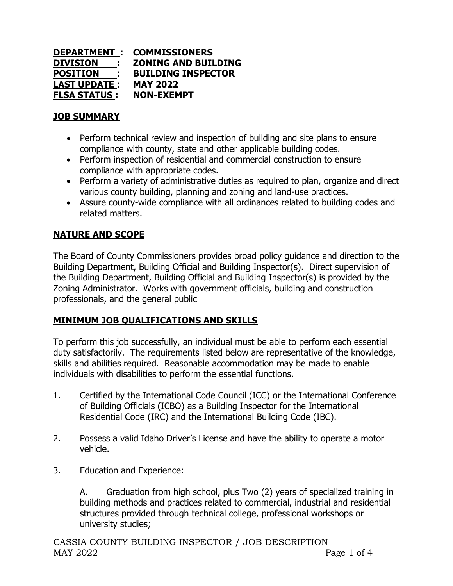| <b>DEPARTMENT :</b>                  | <b>COMMISSIONERS</b>       |
|--------------------------------------|----------------------------|
| <b>DIVISION:</b>                     | <b>ZONING AND BUILDING</b> |
| <b>POSITION</b><br><b>CONTRACTOR</b> | <b>BUILDING INSPECTOR</b>  |
| <b>LAST UPDATE :</b>                 | <b>MAY 2022</b>            |
| <u>FLSA STATUS :</u>                 | <b>NON-EXEMPT</b>          |

### **JOB SUMMARY**

- Perform technical review and inspection of building and site plans to ensure compliance with county, state and other applicable building codes.
- Perform inspection of residential and commercial construction to ensure compliance with appropriate codes.
- Perform a variety of administrative duties as required to plan, organize and direct various county building, planning and zoning and land-use practices.
- Assure county-wide compliance with all ordinances related to building codes and related matters.

# **NATURE AND SCOPE**

The Board of County Commissioners provides broad policy guidance and direction to the Building Department, Building Official and Building Inspector(s). Direct supervision of the Building Department, Building Official and Building Inspector(s) is provided by the Zoning Administrator. Works with government officials, building and construction professionals, and the general public

## **MINIMUM JOB QUALIFICATIONS AND SKILLS**

To perform this job successfully, an individual must be able to perform each essential duty satisfactorily. The requirements listed below are representative of the knowledge, skills and abilities required. Reasonable accommodation may be made to enable individuals with disabilities to perform the essential functions.

- 1. Certified by the International Code Council (ICC) or the International Conference of Building Officials (ICBO) as a Building Inspector for the International Residential Code (IRC) and the International Building Code (IBC).
- 2. Possess a valid Idaho Driver's License and have the ability to operate a motor vehicle.
- 3. Education and Experience:

A. Graduation from high school, plus Two (2) years of specialized training in building methods and practices related to commercial, industrial and residential structures provided through technical college, professional workshops or university studies;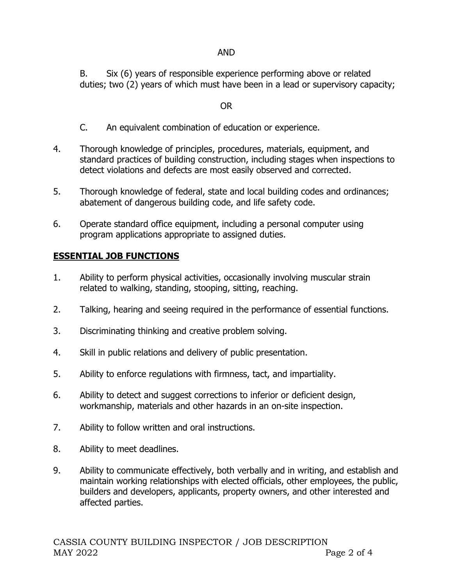#### AND

B. Six (6) years of responsible experience performing above or related duties; two (2) years of which must have been in a lead or supervisory capacity;

#### OR

- C. An equivalent combination of education or experience.
- 4. Thorough knowledge of principles, procedures, materials, equipment, and standard practices of building construction, including stages when inspections to detect violations and defects are most easily observed and corrected.
- 5. Thorough knowledge of federal, state and local building codes and ordinances; abatement of dangerous building code, and life safety code.
- 6. Operate standard office equipment, including a personal computer using program applications appropriate to assigned duties.

### **ESSENTIAL JOB FUNCTIONS**

- 1. Ability to perform physical activities, occasionally involving muscular strain related to walking, standing, stooping, sitting, reaching.
- 2. Talking, hearing and seeing required in the performance of essential functions.
- 3. Discriminating thinking and creative problem solving.
- 4. Skill in public relations and delivery of public presentation.
- 5. Ability to enforce regulations with firmness, tact, and impartiality.
- 6. Ability to detect and suggest corrections to inferior or deficient design, workmanship, materials and other hazards in an on-site inspection.
- 7. Ability to follow written and oral instructions.
- 8. Ability to meet deadlines.
- 9. Ability to communicate effectively, both verbally and in writing, and establish and maintain working relationships with elected officials, other employees, the public, builders and developers, applicants, property owners, and other interested and affected parties.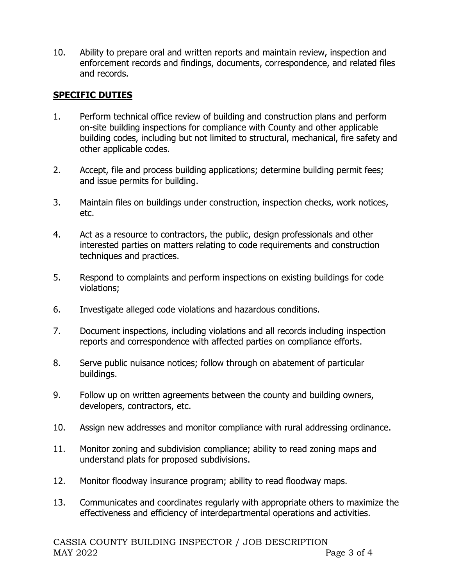10. Ability to prepare oral and written reports and maintain review, inspection and enforcement records and findings, documents, correspondence, and related files and records.

## **SPECIFIC DUTIES**

- 1. Perform technical office review of building and construction plans and perform on-site building inspections for compliance with County and other applicable building codes, including but not limited to structural, mechanical, fire safety and other applicable codes.
- 2. Accept, file and process building applications; determine building permit fees; and issue permits for building.
- 3. Maintain files on buildings under construction, inspection checks, work notices, etc.
- 4. Act as a resource to contractors, the public, design professionals and other interested parties on matters relating to code requirements and construction techniques and practices.
- 5. Respond to complaints and perform inspections on existing buildings for code violations;
- 6. Investigate alleged code violations and hazardous conditions.
- 7. Document inspections, including violations and all records including inspection reports and correspondence with affected parties on compliance efforts.
- 8. Serve public nuisance notices; follow through on abatement of particular buildings.
- 9. Follow up on written agreements between the county and building owners, developers, contractors, etc.
- 10. Assign new addresses and monitor compliance with rural addressing ordinance.
- 11. Monitor zoning and subdivision compliance; ability to read zoning maps and understand plats for proposed subdivisions.
- 12. Monitor floodway insurance program; ability to read floodway maps.
- 13. Communicates and coordinates regularly with appropriate others to maximize the effectiveness and efficiency of interdepartmental operations and activities.